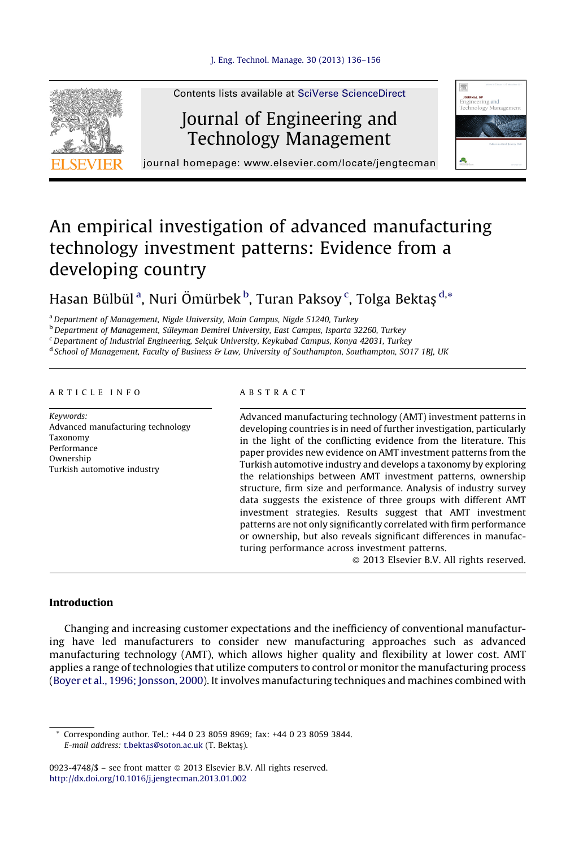

Contents lists available at SciVerse [ScienceDirect](http://www.sciencedirect.com/science/journal/09234748)

# Journal of Engineering and Technology Management



journal homepage: www.elsevier.com/locate/jengtecman

# An empirical investigation of advanced manufacturing technology investment patterns: Evidence from a developing country

### Hasan Bülbül<sup>a</sup>, Nuri Ömürbek<sup>b</sup>, Turan Paksoy¢, Tolga Bektaş <sup>d,</sup>\*

<sup>a</sup> Department of Management, Nigde University, Main Campus, Nigde 51240, Turkey

<sup>b</sup> Department of Management, Süleyman Demirel University, East Campus, Isparta 32260, Turkey

<sup>c</sup> Department of Industrial Engineering, Selçuk University, Keykubad Campus, Konya 42031, Turkey

<sup>d</sup> School of Management, Faculty of Business & Law, University of Southampton, Southampton, SO17 1BJ, UK

#### A R T I C L E I N F O

Keywords: Advanced manufacturing technology Taxonomy Performance Ownership Turkish automotive industry

#### A B S T R A C T

Advanced manufacturing technology (AMT) investment patterns in developing countries is in need of further investigation, particularly in the light of the conflicting evidence from the literature. This paper provides new evidence on AMT investment patterns from the Turkish automotive industry and develops a taxonomy by exploring the relationships between AMT investment patterns, ownership structure, firm size and performance. Analysis of industry survey data suggests the existence of three groups with different AMT investment strategies. Results suggest that AMT investment patterns are not only significantly correlated with firm performance or ownership, but also reveals significant differences in manufacturing performance across investment patterns.

- 2013 Elsevier B.V. All rights reserved.

#### Introduction

Changing and increasing customer expectations and the inefficiency of conventional manufacturing have led manufacturers to consider new manufacturing approaches such as advanced manufacturing technology (AMT), which allows higher quality and flexibility at lower cost. AMT applies a range of technologies that utilize computers to control or monitor the manufacturing process (Boyer et al., 1996; [Jonsson,](#page--1-0) 2000). It involves manufacturing techniques and machines combined with

Corresponding author. Tel.: +44 0 23 8059 8969; fax: +44 0 23 8059 3844. E-mail address: [t.bektas@soton.ac.uk](mailto:t.bektas@soton.ac.uk) (T. Bektas¸).

<sup>0923-4748/\$ –</sup> see front matter © 2013 Elsevier B.V. All rights reserved. <http://dx.doi.org/10.1016/j.jengtecman.2013.01.002>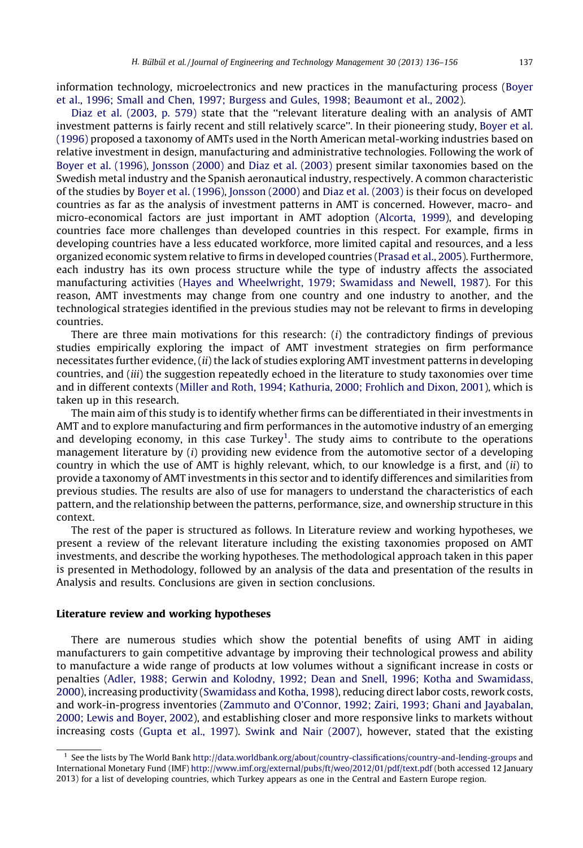information technology, microelectronics and new practices in the manufacturing process [\(Boyer](#page--1-0) et al., 1996; Small and Chen, 1997; Burgess and Gules, 1998; [Beaumont](#page--1-0) et al., 2002).

Diaz et al. [\(2003,](#page--1-0) p. 579) state that the ''relevant literature dealing with an analysis of AMT investment patterns is fairly recent and still relatively scarce''. In their pioneering study, [Boyer](#page--1-0) et al. [\(1996\)](#page--1-0) proposed a taxonomy of AMTs used in the North American metal-working industries based on relative investment in design, manufacturing and administrative technologies. Following the work of Boyer et al. [\(1996\),](#page--1-0) [Jonsson](#page--1-0) (2000) and Diaz et al. [\(2003\)](#page--1-0) present similar taxonomies based on the Swedish metal industry and the Spanish aeronautical industry, respectively. A common characteristic of the studies by Boyer et al. [\(1996\)](#page--1-0), [Jonsson](#page--1-0) (2000) and Diaz et al. [\(2003\)](#page--1-0) is their focus on developed countries as far as the analysis of investment patterns in AMT is concerned. However, macro- and micro-economical factors are just important in AMT adoption [\(Alcorta,](#page--1-0) 1999), and developing countries face more challenges than developed countries in this respect. For example, firms in developing countries have a less educated workforce, more limited capital and resources, and a less organized economic system relative to firms in developed countries ([Prasad](#page--1-0) et al., 2005). Furthermore, each industry has its own process structure while the type of industry affects the associated manufacturing activities (Hayes and [Wheelwright,](#page--1-0) 1979; Swamidass and Newell, 1987). For this reason, AMT investments may change from one country and one industry to another, and the technological strategies identified in the previous studies may not be relevant to firms in developing countries.

There are three main motivations for this research:  $(i)$  the contradictory findings of previous studies empirically exploring the impact of AMT investment strategies on firm performance necessitates further evidence, (ii) the lack of studies exploring AMT investment patterns in developing countries, and (iii) the suggestion repeatedly echoed in the literature to study taxonomies over time and in different contexts (Miller and Roth, 1994; [Kathuria,](#page--1-0) 2000; Frohlich and Dixon, 2001), which is taken up in this research.

The main aim of this study is to identify whether firms can be differentiated in their investments in AMT and to explore manufacturing and firm performances in the automotive industry of an emerging and developing economy, in this case Turkey<sup>1</sup>. The study aims to contribute to the operations management literature by (i) providing new evidence from the automotive sector of a developing country in which the use of AMT is highly relevant, which, to our knowledge is a first, and (ii) to provide a taxonomy of AMT investments in this sector and to identify differences and similarities from previous studies. The results are also of use for managers to understand the characteristics of each pattern, and the relationship between the patterns, performance, size, and ownership structure in this context.

The rest of the paper is structured as follows. In Literature review and working hypotheses, we present a review of the relevant literature including the existing taxonomies proposed on AMT investments, and describe the working hypotheses. The methodological approach taken in this paper is presented in Methodology, followed by an analysis of the data and presentation of the results in Analysis and results. Conclusions are given in section conclusions.

#### Literature review and working hypotheses

There are numerous studies which show the potential benefits of using AMT in aiding manufacturers to gain competitive advantage by improving their technological prowess and ability to manufacture a wide range of products at low volumes without a significant increase in costs or penalties (Adler, 1988; Gerwin and Kolodny, 1992; Dean and Snell, 1996; Kotha and [Swamidass,](#page--1-0) [2000](#page--1-0)), increasing productivity [\(Swamidass](#page--1-0) and Kotha, 1998), reducing direct labor costs, rework costs, and work-in-progress inventories (Zammuto and O'Connor, 1992; Zairi, 1993; Ghani and [Jayabalan,](#page--1-0) 2000; Lewis and [Boyer,](#page--1-0) 2002), and establishing closer and more responsive links to markets without increasing costs [\(Gupta](#page--1-0) et al., 1997). Swink and Nair [\(2007\),](#page--1-0) however, stated that the existing

<sup>&</sup>lt;sup>1</sup> See the lists by The World Bank <http://data.worldbank.org/about/country-classifications/country-and-lending-groups> and International Monetary Fund (IMF) <http://www.imf.org/external/pubs/ft/weo/2012/01/pdf/text.pdf> (both accessed 12 January 2013) for a list of developing countries, which Turkey appears as one in the Central and Eastern Europe region.